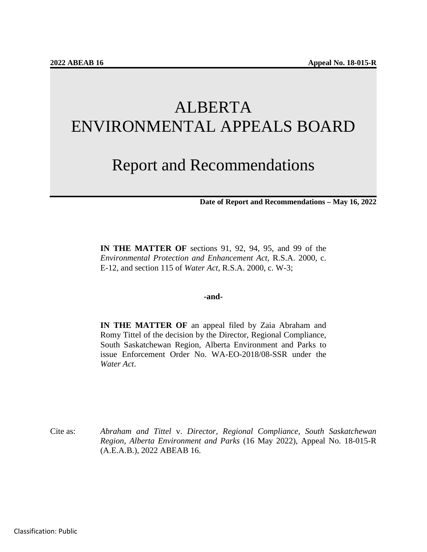# ALBERTA ENVIRONMENTAL APPEALS BOARD

# Report and Recommendations

**Date of Report and Recommendations – May 16, 2022**

**IN THE MATTER OF** sections 91, 92, 94, 95, and 99 of the *Environmental Protection and Enhancement Act,* R.S.A. 2000, c. E-12, and section 115 of *Water Act*, R.S.A. 2000, c. W-3;

#### **-and-**

**IN THE MATTER OF** an appeal filed by Zaia Abraham and Romy Tittel of the decision by the Director, Regional Compliance, South Saskatchewan Region, Alberta Environment and Parks to issue Enforcement Order No. WA-EO-2018/08-SSR under the *Water Act*.

Cite as: *Abraham and Tittel* v. *Director, Regional Compliance, South Saskatchewan Region, Alberta Environment and Parks* (16 May 2022), Appeal No. 18-015-R (A.E.A.B.), 2022 ABEAB 16.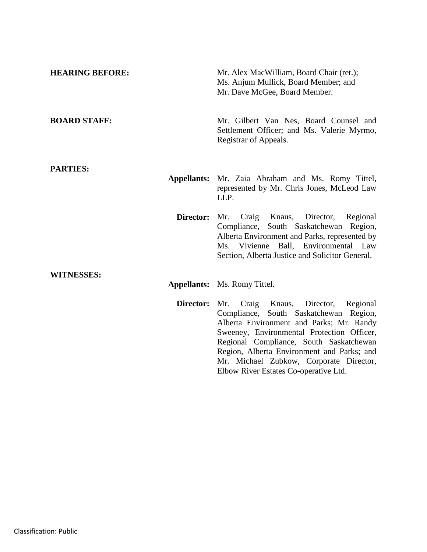| <b>HEARING BEFORE:</b> | Mr. Alex MacWilliam, Board Chair (ret.);<br>Ms. Anjum Mullick, Board Member; and<br>Mr. Dave McGee, Board Member.                                                                                                                                                                                                                                       |
|------------------------|---------------------------------------------------------------------------------------------------------------------------------------------------------------------------------------------------------------------------------------------------------------------------------------------------------------------------------------------------------|
| <b>BOARD STAFF:</b>    | Mr. Gilbert Van Nes, Board Counsel and<br>Settlement Officer; and Ms. Valerie Myrmo,<br>Registrar of Appeals.                                                                                                                                                                                                                                           |
| <b>PARTIES:</b>        |                                                                                                                                                                                                                                                                                                                                                         |
| <b>Appellants:</b>     | Mr. Zaia Abraham and Ms. Romy Tittel,<br>represented by Mr. Chris Jones, McLeod Law<br>LLP.                                                                                                                                                                                                                                                             |
| Director:              | Craig Knaus,<br>Mr.<br>Director,<br>Regional<br>Compliance, South Saskatchewan Region,<br>Alberta Environment and Parks, represented by<br>Ms. Vivienne Ball, Environmental Law<br>Section, Alberta Justice and Solicitor General.                                                                                                                      |
| <b>WITNESSES:</b>      |                                                                                                                                                                                                                                                                                                                                                         |
|                        | <b>Appellants:</b> Ms. Romy Tittel.                                                                                                                                                                                                                                                                                                                     |
| Director:              | Craig Knaus, Director, Regional<br>Mr.<br>Compliance, South Saskatchewan Region,<br>Alberta Environment and Parks; Mr. Randy<br>Sweeney, Environmental Protection Officer,<br>Regional Compliance, South Saskatchewan<br>Region, Alberta Environment and Parks; and<br>Mr. Michael Zubkow, Corporate Director,<br>Elbow River Estates Co-operative Ltd. |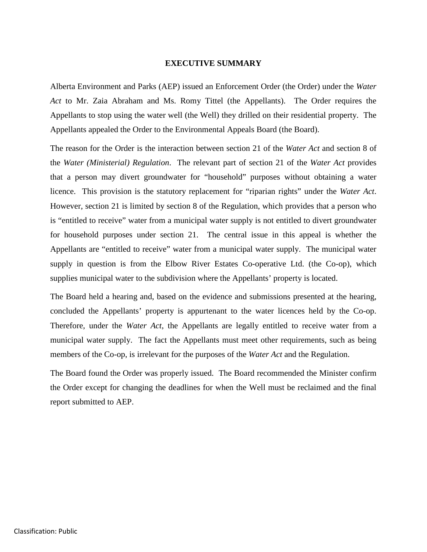#### **EXECUTIVE SUMMARY**

Alberta Environment and Parks (AEP) issued an Enforcement Order (the Order) under the *Water Act* to Mr. Zaia Abraham and Ms. Romy Tittel (the Appellants). The Order requires the Appellants to stop using the water well (the Well) they drilled on their residential property. The Appellants appealed the Order to the Environmental Appeals Board (the Board).

The reason for the Order is the interaction between section 21 of the *Water Act* and section 8 of the *Water (Ministerial) Regulation*. The relevant part of section 21 of the *Water Act* provides that a person may divert groundwater for "household" purposes without obtaining a water licence. This provision is the statutory replacement for "riparian rights" under the *Water Act*. However, section 21 is limited by section 8 of the Regulation, which provides that a person who is "entitled to receive" water from a municipal water supply is not entitled to divert groundwater for household purposes under section 21. The central issue in this appeal is whether the Appellants are "entitled to receive" water from a municipal water supply. The municipal water supply in question is from the Elbow River Estates Co-operative Ltd. (the Co-op), which supplies municipal water to the subdivision where the Appellants' property is located.

The Board held a hearing and, based on the evidence and submissions presented at the hearing, concluded the Appellants' property is appurtenant to the water licences held by the Co-op. Therefore, under the *Water Act*, the Appellants are legally entitled to receive water from a municipal water supply. The fact the Appellants must meet other requirements, such as being members of the Co-op, is irrelevant for the purposes of the *Water Act* and the Regulation.

The Board found the Order was properly issued. The Board recommended the Minister confirm the Order except for changing the deadlines for when the Well must be reclaimed and the final report submitted to AEP.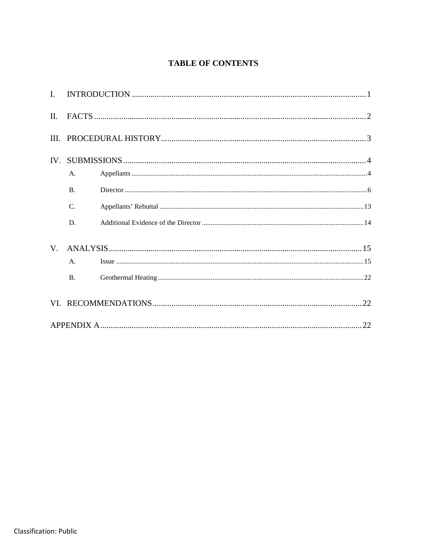# **TABLE OF CONTENTS**

| $\mathbf{I}$ . |                 |  |  |  |  |  |
|----------------|-----------------|--|--|--|--|--|
| II.            |                 |  |  |  |  |  |
| III.           |                 |  |  |  |  |  |
|                |                 |  |  |  |  |  |
|                | А.              |  |  |  |  |  |
|                | $\mathbf{B}$ .  |  |  |  |  |  |
|                | $\mathcal{C}$ . |  |  |  |  |  |
|                | D.              |  |  |  |  |  |
| V.             |                 |  |  |  |  |  |
|                | A.              |  |  |  |  |  |
|                | <b>B.</b>       |  |  |  |  |  |
|                |                 |  |  |  |  |  |
|                |                 |  |  |  |  |  |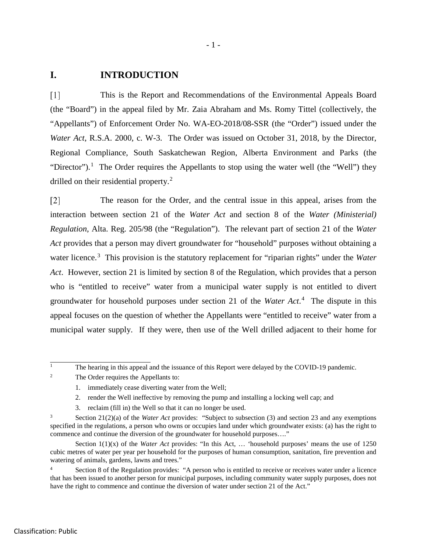### **I. INTRODUCTION**

 $\lceil 1 \rceil$ This is the Report and Recommendations of the Environmental Appeals Board (the "Board") in the appeal filed by Mr. Zaia Abraham and Ms. Romy Tittel (collectively, the "Appellants") of Enforcement Order No. WA-EO-2018/08-SSR (the "Order") issued under the *Water Act*, R.S.A. 2000, c. W-3. The Order was issued on October 31, 2018, by the Director, Regional Compliance, South Saskatchewan Region, Alberta Environment and Parks (the "Director").<sup>[1](#page-4-0)</sup> The Order requires the Appellants to stop using the water well (the "Well") they drilled on their residential property.<sup>[2](#page-4-1)</sup>

 $\lceil 2 \rceil$ The reason for the Order, and the central issue in this appeal, arises from the interaction between section 21 of the *Water Act* and section 8 of the *Water (Ministerial) Regulation*, Alta. Reg. 205/98 (the "Regulation"). The relevant part of section 21 of the *Water Act* provides that a person may divert groundwater for "household" purposes without obtaining a water licence.<sup>[3](#page-4-2)</sup> This provision is the statutory replacement for "riparian rights" under the *Water Act*. However, section 21 is limited by section 8 of the Regulation, which provides that a person who is "entitled to receive" water from a municipal water supply is not entitled to divert groundwater for household purposes under section 21 of the *Water Act*. [4](#page-4-3) The dispute in this appeal focuses on the question of whether the Appellants were "entitled to receive" water from a municipal water supply. If they were, then use of the Well drilled adjacent to their home for

<span id="page-4-1"></span><sup>2</sup> The Order requires the Appellants to:

- 2. render the Well ineffective by removing the pump and installing a locking well cap; and
- 3. reclaim (fill in) the Well so that it can no longer be used.

<span id="page-4-0"></span> $\mathbf{1}$ The hearing in this appeal and the issuance of this Report were delayed by the COVID-19 pandemic.

<sup>1.</sup> immediately cease diverting water from the Well;

<span id="page-4-2"></span><sup>3</sup> Section 21(2)(a) of the *Water Act* provides: "Subject to subsection (3) and section 23 and any exemptions specified in the regulations, a person who owns or occupies land under which groundwater exists: (a) has the right to commence and continue the diversion of the groundwater for household purposes...."

Section 1(1)(x) of the *Water Act* provides: "In this Act, … 'household purposes' means the use of 1250 cubic metres of water per year per household for the purposes of human consumption, sanitation, fire prevention and watering of animals, gardens, lawns and trees."

<span id="page-4-3"></span><sup>&</sup>lt;sup>4</sup> Section 8 of the Regulation provides: "A person who is entitled to receive or receives water under a licence that has been issued to another person for municipal purposes, including community water supply purposes, does not have the right to commence and continue the diversion of water under section 21 of the Act."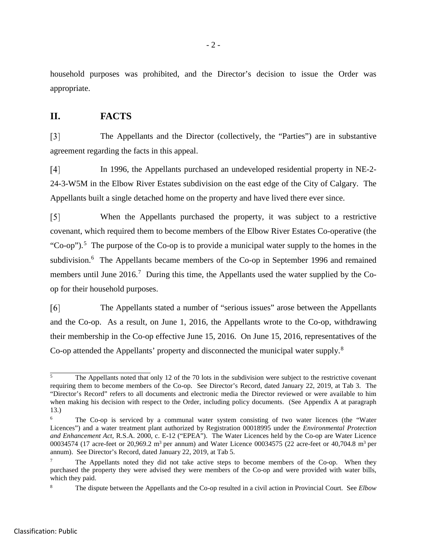household purposes was prohibited, and the Director's decision to issue the Order was appropriate.

# **II. FACTS**

 $\lceil 3 \rceil$ The Appellants and the Director (collectively, the "Parties") are in substantive agreement regarding the facts in this appeal.

 $\lceil 4 \rceil$ In 1996, the Appellants purchased an undeveloped residential property in NE-2- 24-3-W5M in the Elbow River Estates subdivision on the east edge of the City of Calgary. The Appellants built a single detached home on the property and have lived there ever since.

When the Appellants purchased the property, it was subject to a restrictive  $\lceil 5 \rceil$ covenant, which required them to become members of the Elbow River Estates Co-operative (the "Co-op").<sup>[5](#page-5-0)</sup> The purpose of the Co-op is to provide a municipal water supply to the homes in the subdivision.<sup>[6](#page-5-1)</sup> The Appellants became members of the Co-op in September 1996 and remained members until June 2016.<sup>[7](#page-5-2)</sup> During this time, the Appellants used the water supplied by the Coop for their household purposes.

[6] The Appellants stated a number of "serious issues" arose between the Appellants and the Co-op. As a result, on June 1, 2016, the Appellants wrote to the Co-op, withdrawing their membership in the Co-op effective June 15, 2016. On June 15, 2016, representatives of the Co-op attended the Appellants' property and disconnected the municipal water supply.<sup>[8](#page-5-3)</sup>

<span id="page-5-0"></span> $\overline{5}$ <sup>5</sup> The Appellants noted that only 12 of the 70 lots in the subdivision were subject to the restrictive covenant requiring them to become members of the Co-op. See Director's Record, dated January 22, 2019, at Tab 3. The "Director's Record" refers to all documents and electronic media the Director reviewed or were available to him when making his decision with respect to the Order, including policy documents. (See Appendix A at paragraph 13.)

<span id="page-5-1"></span><sup>&</sup>lt;sup>6</sup> The Co-op is serviced by a communal water system consisting of two water licences (the "Water Licences") and a water treatment plant authorized by Registration 00018995 under the *Environmental Protection and Enhancement Act*, R.S.A. 2000, c. E-12 ("EPEA"). The Water Licences held by the Co-op are Water Licence 00034574 (17 acre-feet or 20,969.2 m<sup>3</sup> per annum) and Water Licence 00034575 (22 acre-feet or 40,704.8 m<sup>3</sup> per annum). See Director's Record, dated January 22, 2019, at Tab 5.

<span id="page-5-2"></span> $7 \text{$  The Appellants noted they did not take active steps to become members of the Co-op. When they purchased the property they were advised they were members of the Co-op and were provided with water bills, which they paid.

<span id="page-5-3"></span><sup>8</sup> The dispute between the Appellants and the Co-op resulted in a civil action in Provincial Court. See *Elbow*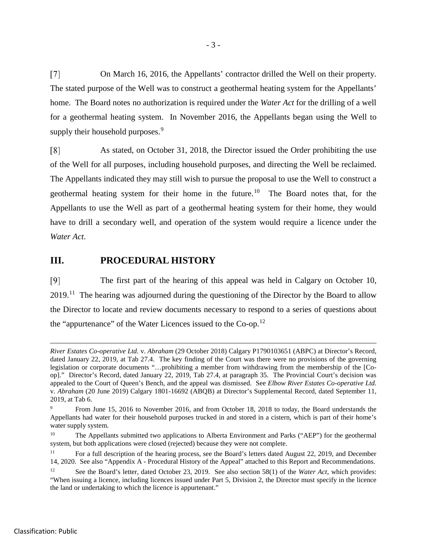$\lceil 7 \rceil$ On March 16, 2016, the Appellants' contractor drilled the Well on their property. The stated purpose of the Well was to construct a geothermal heating system for the Appellants' home. The Board notes no authorization is required under the *Water Act* for the drilling of a well for a geothermal heating system. In November 2016, the Appellants began using the Well to supply their household purposes.<sup>[9](#page-6-0)</sup>

As stated, on October 31, 2018, the Director issued the Order prohibiting the use [8] of the Well for all purposes, including household purposes, and directing the Well be reclaimed. The Appellants indicated they may still wish to pursue the proposal to use the Well to construct a geothermal heating system for their home in the future.<sup>10</sup> The Board notes that, for the Appellants to use the Well as part of a geothermal heating system for their home, they would have to drill a secondary well, and operation of the system would require a licence under the *Water Act*.

# **III. PROCEDURAL HISTORY**

 $[9]$ The first part of the hearing of this appeal was held in Calgary on October 10,  $2019<sup>11</sup>$  The hearing was adjourned during the questioning of the Director by the Board to allow the Director to locate and review documents necessary to respond to a series of questions about the "appurtenance" of the Water Licences issued to the Co-op.<sup>[12](#page-6-3)</sup>

 $\overline{a}$ 

*River Estates Co-operative Ltd.* v. *Abraham* (29 October 2018) Calgary P1790103651 (ABPC) at Director's Record, dated January 22, 2019, at Tab 27.4. The key finding of the Court was there were no provisions of the governing legislation or corporate documents "…prohibiting a member from withdrawing from the membership of the [Coop]." Director's Record, dated January 22, 2019, Tab 27.4, at paragraph 35. The Provincial Court's decision was appealed to the Court of Queen's Bench, and the appeal was dismissed. See *Elbow River Estates Co-operative Ltd.*  v. *Abraham* (20 June 2019) Calgary 1801-16692 (ABQB) at Director's Supplemental Record, dated September 11, 2019, at Tab 6.

<span id="page-6-0"></span><sup>9</sup> From June 15, 2016 to November 2016, and from October 18, 2018 to today, the Board understands the Appellants had water for their household purposes trucked in and stored in a cistern, which is part of their home's water supply system.

<span id="page-6-1"></span><sup>10</sup> The Appellants submitted two applications to Alberta Environment and Parks ("AEP") for the geothermal system, but both applications were closed (rejected) because they were not complete.

<span id="page-6-2"></span><sup>&</sup>lt;sup>11</sup> For a full description of the hearing process, see the Board's letters dated August 22, 2019, and December 14, 2020. See also "Appendix A - Procedural History of the Appeal" attached to this Report and Recommendations.

<span id="page-6-3"></span>See the Board's letter, dated October 23, 2019. See also section 58(1) of the *Water Act*, which provides: "When issuing a licence, including licences issued under Part 5, Division 2, the Director must specify in the licence the land or undertaking to which the licence is appurtenant."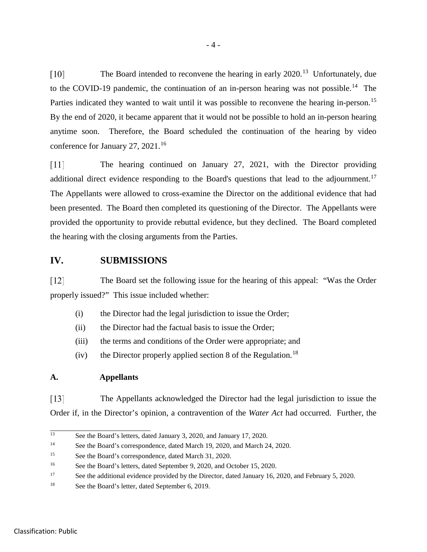The Board intended to reconvene the hearing in early 2020.<sup>[13](#page-7-0)</sup> Unfortunately, due  $\lceil 10 \rceil$ to the COVID-19 pandemic, the continuation of an in-person hearing was not possible.<sup>[14](#page-7-1)</sup> The Parties indicated they wanted to wait until it was possible to reconvene the hearing in-person.<sup>[15](#page-7-2)</sup> By the end of 2020, it became apparent that it would not be possible to hold an in-person hearing anytime soon. Therefore, the Board scheduled the continuation of the hearing by video conference for January 27, 2021.<sup>[16](#page-7-3)</sup>

 $\lceil 11 \rceil$ The hearing continued on January 27, 2021, with the Director providing additional direct evidence responding to the Board's questions that lead to the adjournment.<sup>[17](#page-7-4)</sup> The Appellants were allowed to cross-examine the Director on the additional evidence that had been presented. The Board then completed its questioning of the Director. The Appellants were provided the opportunity to provide rebuttal evidence, but they declined. The Board completed the hearing with the closing arguments from the Parties.

# **IV. SUBMISSIONS**

 $\lceil 12 \rceil$ The Board set the following issue for the hearing of this appeal: "Was the Order properly issued?" This issue included whether:

- (i) the Director had the legal jurisdiction to issue the Order;
- (ii) the Director had the factual basis to issue the Order;
- (iii) the terms and conditions of the Order were appropriate; and
- (iv) the Director properly applied section 8 of the Regulation.<sup>[18](#page-7-5)</sup>

## **A. Appellants**

 $\lceil 13 \rceil$ The Appellants acknowledged the Director had the legal jurisdiction to issue the Order if, in the Director's opinion, a contravention of the *Water Act* had occurred. Further, the

<span id="page-7-0"></span> $13$ See the Board's letters, dated January 3, 2020, and January 17, 2020.

<span id="page-7-1"></span><sup>&</sup>lt;sup>14</sup> See the Board's correspondence, dated March 19, 2020, and March 24, 2020.

<span id="page-7-2"></span><sup>15</sup> See the Board's correspondence, dated March 31, 2020.

<span id="page-7-3"></span><sup>&</sup>lt;sup>16</sup> See the Board's letters, dated September 9, 2020, and October 15, 2020.

<span id="page-7-4"></span><sup>&</sup>lt;sup>17</sup> See the additional evidence provided by the Director, dated January 16, 2020, and February 5, 2020.

<span id="page-7-5"></span><sup>18</sup> See the Board's letter, dated September 6, 2019.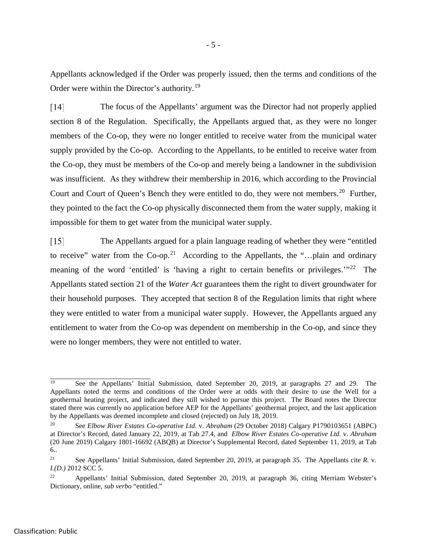Appellants acknowledged if the Order was properly issued, then the terms and conditions of the Order were within the Director's authority.[19](#page-8-0)

 $\lceil 14 \rceil$ The focus of the Appellants' argument was the Director had not properly applied section 8 of the Regulation. Specifically, the Appellants argued that, as they were no longer members of the Co-op, they were no longer entitled to receive water from the municipal water supply provided by the Co-op. According to the Appellants, to be entitled to receive water from the Co-op, they must be members of the Co-op and merely being a landowner in the subdivision was insufficient. As they withdrew their membership in 2016, which according to the Provincial Court and Court of Queen's Bench they were entitled to do, they were not members.<sup>20</sup> Further, they pointed to the fact the Co-op physically disconnected them from the water supply, making it impossible for them to get water from the municipal water supply.

 $\lceil 15 \rceil$ The Appellants argued for a plain language reading of whether they were "entitled to receive" water from the Co-op.<sup>[21](#page-8-2)</sup> According to the Appellants, the "...plain and ordinary meaning of the word 'entitled' is 'having a right to certain benefits or privileges.'"<sup>[22](#page-8-3)</sup> The Appellants stated section 21 of the *Water Act* guarantees them the right to divert groundwater for their household purposes. They accepted that section 8 of the Regulation limits that right where they were entitled to water from a municipal water supply. However, the Appellants argued any entitlement to water from the Co-op was dependent on membership in the Co-op, and since they were no longer members, they were not entitled to water.

<span id="page-8-0"></span> $\overline{19}$ <sup>19</sup> See the Appellants' Initial Submission, dated September 20, 2019, at paragraphs 27 and 29. The Appellants noted the terms and conditions of the Order were at odds with their desire to use the Well for a geothermal heating project, and indicated they still wished to pursue this project. The Board notes the Director stated there was currently no application before AEP for the Appellants' geothermal project, and the last application by the Appellants was deemed incomplete and closed (rejected) on July 18, 2019.

<span id="page-8-1"></span><sup>20</sup> See *Elbow River Estates Co-operative Ltd.* v. *Abraham* (29 October 2018) Calgary P1790103651 (ABPC) at Director's Record, dated January 22, 2019, at Tab 27.4, and *Elbow River Estates Co-operative Ltd.* v. *Abraham* (20 June 2019) Calgary 1801-16692 (ABQB) at Director's Supplemental Record, dated September 11, 2019, at Tab 6..

<span id="page-8-2"></span><sup>21</sup> See Appellants' Initial Submission, dated September 20, 2019, at paragraph 35. The Appellants cite *R.* v*. I.(D.)* 2012 SCC 5.

<span id="page-8-3"></span><sup>22</sup> Appellants' Initial Submission, dated September 20, 2019, at paragraph 36, citing Merriam Webster's Dictionary, online, *sub verbo* "entitled."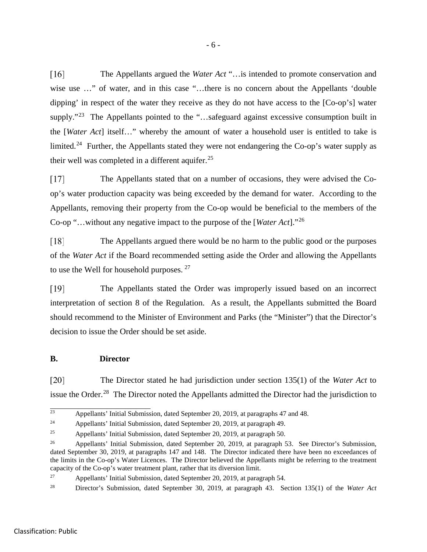$\lceil 16 \rceil$ The Appellants argued the *Water Act* "…is intended to promote conservation and wise use ..." of water, and in this case "...there is no concern about the Appellants 'double dipping' in respect of the water they receive as they do not have access to the [Co-op's] water supply."<sup>23</sup> The Appellants pointed to the "...safeguard against excessive consumption built in the [*Water Act*] itself…" whereby the amount of water a household user is entitled to take is limited.<sup>24</sup> Further, the Appellants stated they were not endangering the Co-op's water supply as their well was completed in a different aquifer.<sup>[25](#page-9-2)</sup>

 $[17]$ The Appellants stated that on a number of occasions, they were advised the Coop's water production capacity was being exceeded by the demand for water. According to the Appellants, removing their property from the Co-op would be beneficial to the members of the Co-op "…without any negative impact to the purpose of the [*Water Act*]."[26](#page-9-3)

 $[18]$ The Appellants argued there would be no harm to the public good or the purposes of the *Water Act* if the Board recommended setting aside the Order and allowing the Appellants to use the Well for household purposes. <sup>[27](#page-9-4)</sup>

 $[19]$ The Appellants stated the Order was improperly issued based on an incorrect interpretation of section 8 of the Regulation. As a result, the Appellants submitted the Board should recommend to the Minister of Environment and Parks (the "Minister") that the Director's decision to issue the Order should be set aside.

## **B. Director**

 $[20]$ The Director stated he had jurisdiction under section 135(1) of the *Water Act* to issue the Order.<sup>[28](#page-9-5)</sup> The Director noted the Appellants admitted the Director had the jurisdiction to

<span id="page-9-0"></span> $23$ Appellants' Initial Submission, dated September 20, 2019, at paragraphs 47 and 48.

<span id="page-9-1"></span><sup>24</sup> Appellants' Initial Submission, dated September 20, 2019, at paragraph 49.

<span id="page-9-2"></span><sup>25</sup> Appellants' Initial Submission, dated September 20, 2019, at paragraph 50.

<span id="page-9-3"></span><sup>&</sup>lt;sup>26</sup> Appellants' Initial Submission, dated September 20, 2019, at paragraph 53. See Director's Submission, dated September 30, 2019, at paragraphs 147 and 148. The Director indicated there have been no exceedances of the limits in the Co-op's Water Licences. The Director believed the Appellants might be referring to the treatment capacity of the Co-op's water treatment plant, rather that its diversion limit.

<span id="page-9-4"></span><sup>27</sup> Appellants' Initial Submission, dated September 20, 2019, at paragraph 54.

<span id="page-9-5"></span><sup>28</sup> Director's Submission, dated September 30, 2019, at paragraph 43. Section 135(1) of the *Water Act*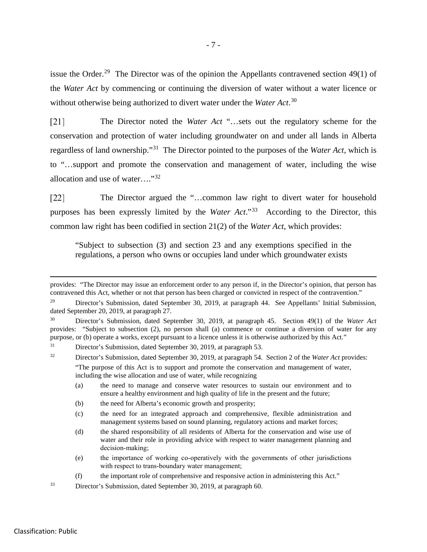issue the Order.<sup>29</sup> The Director was of the opinion the Appellants contravened section 49(1) of the *Water Act* by commencing or continuing the diversion of water without a water licence or without otherwise being authorized to divert water under the *Water Act*. [30](#page-10-1)

The Director noted the *Water Act* "…sets out the regulatory scheme for the  $[21]$ conservation and protection of water including groundwater on and under all lands in Alberta regardless of land ownership."[31](#page-10-2) The Director pointed to the purposes of the *Water Act*, which is to "…support and promote the conservation and management of water, including the wise allocation and use of water…."[32](#page-10-3)

The Director argued the "…common law right to divert water for household  $\lceil 22 \rceil$ purposes has been expressly limited by the *Water Act*."[33](#page-10-4) According to the Director, this common law right has been codified in section 21(2) of the *Water Act*, which provides:

"Subject to subsection (3) and section 23 and any exemptions specified in the regulations, a person who owns or occupies land under which groundwater exists

(b) the need for Alberta's economic growth and prosperity;

 $\overline{a}$ 

provides: "The Director may issue an enforcement order to any person if, in the Director's opinion, that person has contravened this Act, whether or not that person has been charged or convicted in respect of the contravention."

<span id="page-10-0"></span><sup>&</sup>lt;sup>29</sup> Director's Submission, dated September 30, 2019, at paragraph 44. See Appellants' Initial Submission, dated September 20, 2019, at paragraph 27.

<span id="page-10-1"></span><sup>30</sup> Director's Submission, dated September 30, 2019, at paragraph 45. Section 49(1) of the *Water Act*  provides: "Subject to subsection (2), no person shall (a) commence or continue a diversion of water for any purpose, or (b) operate a works, except pursuant to a licence unless it is otherwise authorized by this Act."

<span id="page-10-2"></span><sup>31</sup> Director's Submission, dated September 30, 2019, at paragraph 53.

<span id="page-10-3"></span><sup>32</sup> Director's Submission, dated September 30, 2019, at paragraph 54. Section 2 of the *Water Act* provides: "The purpose of this Act is to support and promote the conservation and management of water, including the wise allocation and use of water, while recognizing

<sup>(</sup>a) the need to manage and conserve water resources to sustain our environment and to ensure a healthy environment and high quality of life in the present and the future;

<sup>(</sup>c) the need for an integrated approach and comprehensive, flexible administration and management systems based on sound planning, regulatory actions and market forces;

<sup>(</sup>d) the shared responsibility of all residents of Alberta for the conservation and wise use of water and their role in providing advice with respect to water management planning and decision-making;

<sup>(</sup>e) the importance of working co‑operatively with the governments of other jurisdictions with respect to trans-boundary water management;

<sup>(</sup>f) the important role of comprehensive and responsive action in administering this Act."

<span id="page-10-4"></span><sup>33</sup> Director's Submission, dated September 30, 2019, at paragraph 60.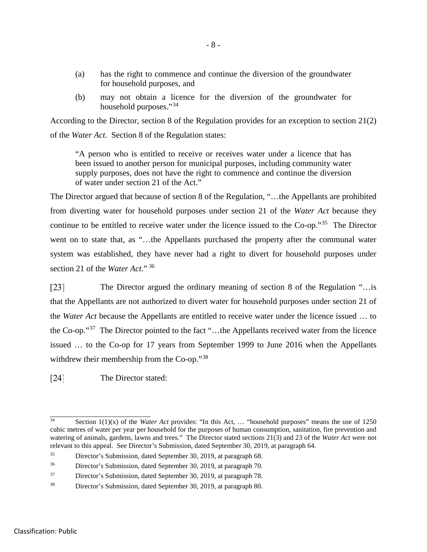- (a) has the right to commence and continue the diversion of the groundwater for household purposes, and
- (b) may not obtain a licence for the diversion of the groundwater for household purposes."<sup>[34](#page-11-0)</sup>

According to the Director, section 8 of the Regulation provides for an exception to section 21(2) of the *Water Act*. Section 8 of the Regulation states:

"A person who is entitled to receive or receives water under a licence that has been issued to another person for municipal purposes, including community water supply purposes, does not have the right to commence and continue the diversion of water under section 21 of the Act."

The Director argued that because of section 8 of the Regulation, "…the Appellants are prohibited from diverting water for household purposes under section 21 of the *Water Act* because they continue to be entitled to receive water under the licence issued to the Co-op."[35](#page-11-1) The Director went on to state that, as "…the Appellants purchased the property after the communal water system was established, they have never had a right to divert for household purposes under section 21 of the *Water Act*." [36](#page-11-2)

 $\lceil 23 \rceil$ The Director argued the ordinary meaning of section 8 of the Regulation "…is that the Appellants are not authorized to divert water for household purposes under section 21 of the *Water Act* because the Appellants are entitled to receive water under the licence issued … to the Co-op."[37](#page-11-3) The Director pointed to the fact "…the Appellants received water from the licence issued … to the Co-op for 17 years from September 1999 to June 2016 when the Appellants withdrew their membership from the Co-op."<sup>[38](#page-11-4)</sup>

 $[24]$ The Director stated:

<span id="page-11-0"></span> $\overline{34}$ Section 1(1)(x) of the *Water Act* provides: "In this Act, ... "household purposes" means the use of 1250 cubic metres of water per year per household for the purposes of human consumption, sanitation, fire prevention and watering of animals, gardens, lawns and trees." The Director stated sections 21(3) and 23 of the *Water Act* were not relevant to this appeal. See Director's Submission, dated September 30, 2019, at paragraph 64.

<span id="page-11-1"></span><sup>35</sup> Director's Submission, dated September 30, 2019, at paragraph 68.

<span id="page-11-2"></span><sup>36</sup> Director's Submission, dated September 30, 2019, at paragraph 70.

<span id="page-11-3"></span><sup>37</sup> Director's Submission, dated September 30, 2019, at paragraph 78.

<span id="page-11-4"></span><sup>38</sup> Director's Submission, dated September 30, 2019, at paragraph 80.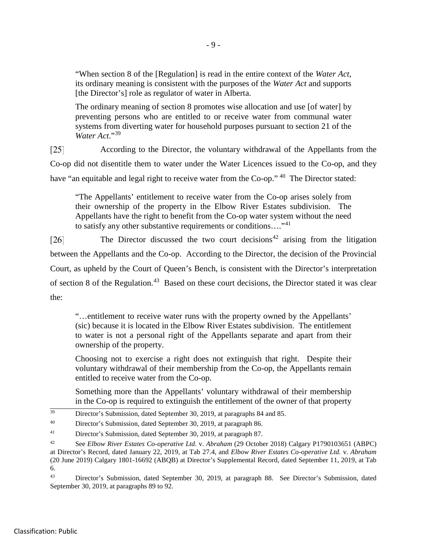"When section 8 of the [Regulation] is read in the entire context of the *Water Act*, its ordinary meaning is consistent with the purposes of the *Water Act* and supports [the Director's] role as regulator of water in Alberta.

The ordinary meaning of section 8 promotes wise allocation and use [of water] by preventing persons who are entitled to or receive water from communal water systems from diverting water for household purposes pursuant to section 21 of the *Water Act*."[39](#page-12-0)

 $\lceil 25 \rceil$ According to the Director, the voluntary withdrawal of the Appellants from the Co-op did not disentitle them to water under the Water Licences issued to the Co-op, and they have "an equitable and legal right to receive water from the Co-op." <sup>[40](#page-12-1)</sup> The Director stated:

"The Appellants' entitlement to receive water from the Co-op arises solely from their ownership of the property in the Elbow River Estates subdivision. The Appellants have the right to benefit from the Co-op water system without the need to satisfy any other substantive requirements or conditions...."<sup>[41](#page-12-2)</sup>

The Director discussed the two court decisions<sup>[42](#page-12-3)</sup> arising from the litigation  $\lceil 26 \rceil$ between the Appellants and the Co-op. According to the Director, the decision of the Provincial Court, as upheld by the Court of Queen's Bench, is consistent with the Director's interpretation of section 8 of the Regulation.<sup>[43](#page-12-4)</sup> Based on these court decisions, the Director stated it was clear the:

"…entitlement to receive water runs with the property owned by the Appellants' (sic) because it is located in the Elbow River Estates subdivision. The entitlement to water is not a personal right of the Appellants separate and apart from their ownership of the property.

Choosing not to exercise a right does not extinguish that right. Despite their voluntary withdrawal of their membership from the Co-op, the Appellants remain entitled to receive water from the Co-op.

Something more than the Appellants' voluntary withdrawal of their membership in the Co-op is required to extinguish the entitlement of the owner of that property

<span id="page-12-0"></span><sup>39</sup> Director's Submission, dated September 30, 2019, at paragraphs 84 and 85.

<span id="page-12-1"></span><sup>40</sup> Director's Submission, dated September 30, 2019, at paragraph 86.

<span id="page-12-2"></span><sup>41</sup> Director's Submission, dated September 30, 2019, at paragraph 87.

<span id="page-12-4"></span><sup>43</sup> Director's Submission, dated September 30, 2019, at paragraph 88. See Director's Submission, dated September 30, 2019, at paragraphs 89 to 92.

<span id="page-12-3"></span><sup>42</sup> See *Elbow River Estates Co-operative Ltd.* v. *Abraham* (29 October 2018) Calgary P1790103651 (ABPC) at Director's Record, dated January 22, 2019, at Tab 27.4, and *Elbow River Estates Co-operative Ltd.* v. *Abraham* (20 June 2019) Calgary 1801-16692 (ABQB) at Director's Supplemental Record, dated September 11, 2019, at Tab 6.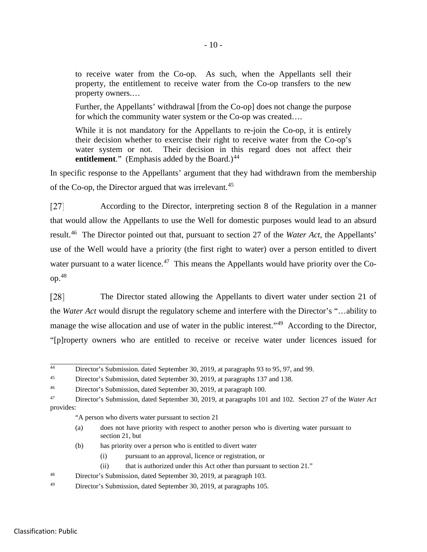to receive water from the Co-op. As such, when the Appellants sell their property, the entitlement to receive water from the Co-op transfers to the new property owners.…

Further, the Appellants' withdrawal [from the Co-op] does not change the purpose for which the community water system or the Co-op was created....

While it is not mandatory for the Appellants to re-join the Co-op, it is entirely their decision whether to exercise their right to receive water from the Co-op's water system or not. Their decision in this regard does not affect their **entitlement.**" (Emphasis added by the Board.)<sup>[44](#page-13-0)</sup>

In specific response to the Appellants' argument that they had withdrawn from the membership of the Co-op, the Director argued that was irrelevant.<sup>[45](#page-13-1)</sup>

According to the Director, interpreting section 8 of the Regulation in a manner  $\lceil 27 \rceil$ that would allow the Appellants to use the Well for domestic purposes would lead to an absurd result.[46](#page-13-2) The Director pointed out that, pursuant to section 27 of the *Water Act*, the Appellants' use of the Well would have a priority (the first right to water) over a person entitled to divert water pursuant to a water licence.<sup>[47](#page-13-3)</sup> This means the Appellants would have priority over the Coop.[48](#page-13-4)

 $[28]$ The Director stated allowing the Appellants to divert water under section 21 of the *Water Act* would disrupt the regulatory scheme and interfere with the Director's "…ability to manage the wise allocation and use of water in the public interest."<sup>[49](#page-13-5)</sup> According to the Director, "[p]roperty owners who are entitled to receive or receive water under licences issued for

<span id="page-13-0"></span> $\overline{44}$ Director's Submission. dated September 30, 2019, at paragraphs 93 to 95, 97, and 99.

<span id="page-13-1"></span><sup>&</sup>lt;sup>45</sup> Director's Submission, dated September 30, 2019, at paragraphs 137 and 138.

<span id="page-13-2"></span><sup>46</sup> Director's Submission, dated September 30, 2019, at paragraph 100.

<span id="page-13-3"></span><sup>47</sup> Director's Submission, dated September 30, 2019, at paragraphs 101 and 102. Section 27 of the *Water Act* provides:

<sup>&</sup>quot;A person who diverts water pursuant to section 21

<sup>(</sup>a) does not have priority with respect to another person who is diverting water pursuant to section 21, but

<sup>(</sup>b) has priority over a person who is entitled to divert water

<sup>(</sup>i) pursuant to an approval, licence or registration, or

<sup>(</sup>ii) that is authorized under this Act other than pursuant to section 21."

<span id="page-13-4"></span><sup>48</sup> Director's Submission, dated September 30, 2019, at paragraph 103.

<span id="page-13-5"></span><sup>49</sup> Director's Submission, dated September 30, 2019, at paragraphs 105.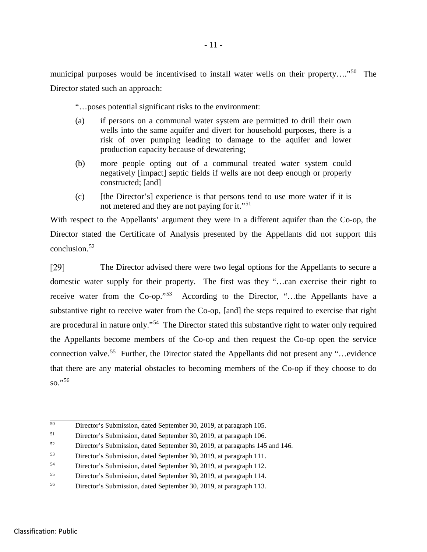municipal purposes would be incentivised to install water wells on their property…."[50](#page-14-0) The Director stated such an approach:

"…poses potential significant risks to the environment:

- (a) if persons on a communal water system are permitted to drill their own wells into the same aquifer and divert for household purposes, there is a risk of over pumping leading to damage to the aquifer and lower production capacity because of dewatering;
- (b) more people opting out of a communal treated water system could negatively [impact] septic fields if wells are not deep enough or properly constructed; [and]
- (c) [the Director's] experience is that persons tend to use more water if it is not metered and they are not paying for it."<sup>[51](#page-14-1)</sup>

With respect to the Appellants' argument they were in a different aquifer than the Co-op, the Director stated the Certificate of Analysis presented by the Appellants did not support this conclusion.[52](#page-14-2)

 $[29]$ The Director advised there were two legal options for the Appellants to secure a domestic water supply for their property. The first was they "…can exercise their right to receive water from the Co-op."[53](#page-14-3) According to the Director, "…the Appellants have a substantive right to receive water from the Co-op, [and] the steps required to exercise that right are procedural in nature only."[54](#page-14-4) The Director stated this substantive right to water only required the Appellants become members of the Co-op and then request the Co-op open the service connection valve.<sup>55</sup> Further, the Director stated the Appellants did not present any "…evidence" that there are any material obstacles to becoming members of the Co-op if they choose to do so."[56](#page-14-6)

<span id="page-14-0"></span> $\overline{50}$ <sup>50</sup> Director's Submission, dated September 30, 2019, at paragraph 105.

<span id="page-14-1"></span><sup>51</sup> Director's Submission, dated September 30, 2019, at paragraph 106.

<span id="page-14-2"></span><sup>52</sup> Director's Submission, dated September 30, 2019, at paragraphs 145 and 146.

<span id="page-14-3"></span><sup>53</sup> Director's Submission, dated September 30, 2019, at paragraph 111.

<span id="page-14-4"></span><sup>54</sup> Director's Submission, dated September 30, 2019, at paragraph 112.

<span id="page-14-5"></span><sup>55</sup> Director's Submission, dated September 30, 2019, at paragraph 114.

<span id="page-14-6"></span><sup>56</sup> Director's Submission, dated September 30, 2019, at paragraph 113.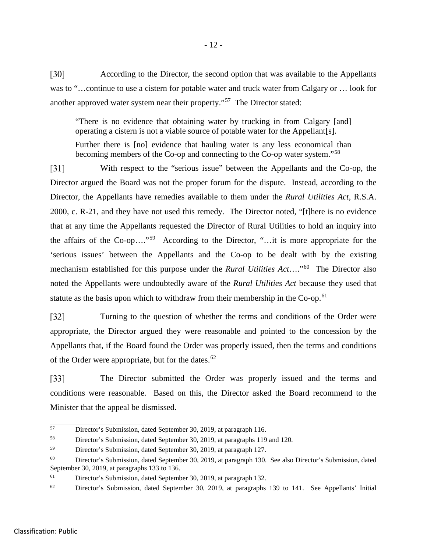$\lceil 30 \rceil$ According to the Director, the second option that was available to the Appellants was to "…continue to use a cistern for potable water and truck water from Calgary or … look for another approved water system near their property."<sup>57</sup> The Director stated:

"There is no evidence that obtaining water by trucking in from Calgary [and] operating a cistern is not a viable source of potable water for the Appellant[s].

Further there is [no] evidence that hauling water is any less economical than becoming members of the Co-op and connecting to the Co-op water system."[58](#page-15-1)

 $\lceil 31 \rceil$ With respect to the "serious issue" between the Appellants and the Co-op, the Director argued the Board was not the proper forum for the dispute. Instead, according to the Director, the Appellants have remedies available to them under the *Rural Utilities Act*, R.S.A. 2000, c. R-21, and they have not used this remedy. The Director noted, "[t]here is no evidence that at any time the Appellants requested the Director of Rural Utilities to hold an inquiry into the affairs of the Co-op…."[59](#page-15-2) According to the Director, "…it is more appropriate for the 'serious issues' between the Appellants and the Co-op to be dealt with by the existing mechanism established for this purpose under the *Rural Utilities Act*…."[60](#page-15-3) The Director also noted the Appellants were undoubtedly aware of the *Rural Utilities Act* because they used that statute as the basis upon which to withdraw from their membership in the Co-op.<sup>[61](#page-15-4)</sup>

Turning to the question of whether the terms and conditions of the Order were  $\lceil 32 \rceil$ appropriate, the Director argued they were reasonable and pointed to the concession by the Appellants that, if the Board found the Order was properly issued, then the terms and conditions of the Order were appropriate, but for the dates. $62$ 

 $\lceil 33 \rceil$ The Director submitted the Order was properly issued and the terms and conditions were reasonable. Based on this, the Director asked the Board recommend to the Minister that the appeal be dismissed.

<span id="page-15-0"></span> $\overline{57}$ Director's Submission, dated September 30, 2019, at paragraph 116.

<span id="page-15-1"></span><sup>58</sup> Director's Submission, dated September 30, 2019, at paragraphs 119 and 120.

<span id="page-15-2"></span><sup>59</sup> Director's Submission, dated September 30, 2019, at paragraph 127.

<span id="page-15-3"></span><sup>60</sup> Director's Submission, dated September 30, 2019, at paragraph 130. See also Director's Submission, dated September 30, 2019, at paragraphs 133 to 136.

<span id="page-15-4"></span><sup>61</sup> Director's Submission, dated September 30, 2019, at paragraph 132.

<span id="page-15-5"></span> $62$  Director's Submission, dated September 30, 2019, at paragraphs 139 to 141. See Appellants' Initial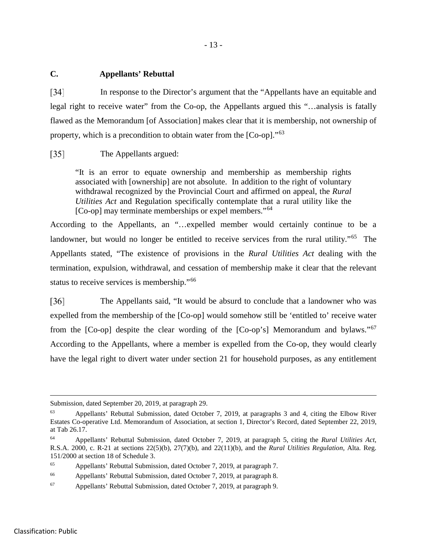#### **C. Appellants' Rebuttal**

 $\lceil 34 \rceil$ In response to the Director's argument that the "Appellants have an equitable and legal right to receive water" from the Co-op, the Appellants argued this "…analysis is fatally flawed as the Memorandum [of Association] makes clear that it is membership, not ownership of property, which is a precondition to obtain water from the [Co-op]."<sup>[63](#page-16-0)</sup>

#### $\lceil 35 \rceil$ The Appellants argued:

"It is an error to equate ownership and membership as membership rights associated with [ownership] are not absolute. In addition to the right of voluntary withdrawal recognized by the Provincial Court and affirmed on appeal, the *Rural Utilities Act* and Regulation specifically contemplate that a rural utility like the [Co-op] may terminate memberships or expel members."<sup>[64](#page-16-1)</sup>

According to the Appellants, an "…expelled member would certainly continue to be a landowner, but would no longer be entitled to receive services from the rural utility."<sup>65</sup> The Appellants stated, "The existence of provisions in the *Rural Utilities Act* dealing with the termination, expulsion, withdrawal, and cessation of membership make it clear that the relevant status to receive services is membership."<sup>[66](#page-16-3)</sup>

 $\lceil 36 \rceil$ The Appellants said, "It would be absurd to conclude that a landowner who was expelled from the membership of the [Co-op] would somehow still be 'entitled to' receive water from the [Co-op] despite the clear wording of the [Co-op's] Memorandum and bylaws."[67](#page-16-4) According to the Appellants, where a member is expelled from the Co-op, they would clearly have the legal right to divert water under section 21 for household purposes, as any entitlement

Submission, dated September 20, 2019, at paragraph 29.

<span id="page-16-0"></span><sup>63</sup> Appellants' Rebuttal Submission, dated October 7, 2019, at paragraphs 3 and 4, citing the Elbow River Estates Co-operative Ltd. Memorandum of Association, at section 1, Director's Record, dated September 22, 2019, at Tab 26.17.

<span id="page-16-1"></span><sup>64</sup> Appellants' Rebuttal Submission, dated October 7, 2019, at paragraph 5, citing the *Rural Utilities Act*, R.S.A. 2000, c. R-21 at sections 22(5)(b), 27(7)(b), and 22(11)(b), and the *Rural Utilities Regulation,* Alta. Reg. 151/2000 at section 18 of Schedule 3.

<span id="page-16-2"></span><sup>65</sup> Appellants' Rebuttal Submission, dated October 7, 2019, at paragraph 7.

<span id="page-16-3"></span><sup>66</sup> Appellants' Rebuttal Submission, dated October 7, 2019, at paragraph 8.

<span id="page-16-4"></span><sup>67</sup> Appellants' Rebuttal Submission, dated October 7, 2019, at paragraph 9.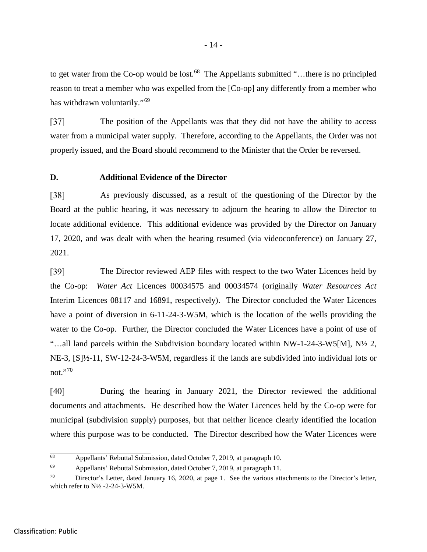to get water from the Co-op would be lost.<sup>68</sup> The Appellants submitted "...there is no principled reason to treat a member who was expelled from the [Co-op] any differently from a member who has withdrawn voluntarily."<sup>[69](#page-17-1)</sup>

The position of the Appellants was that they did not have the ability to access  $\left[37\right]$ water from a municipal water supply. Therefore, according to the Appellants, the Order was not properly issued, and the Board should recommend to the Minister that the Order be reversed.

#### **D. Additional Evidence of the Director**

 $\left[38\right]$ As previously discussed, as a result of the questioning of the Director by the Board at the public hearing, it was necessary to adjourn the hearing to allow the Director to locate additional evidence. This additional evidence was provided by the Director on January 17, 2020, and was dealt with when the hearing resumed (via videoconference) on January 27, 2021.

 $\lceil 39 \rceil$ The Director reviewed AEP files with respect to the two Water Licences held by the Co-op: *Water Act* Licences 00034575 and 00034574 (originally *Water Resources Act* Interim Licences 08117 and 16891, respectively). The Director concluded the Water Licences have a point of diversion in 6-11-24-3-W5M, which is the location of the wells providing the water to the Co-op. Further, the Director concluded the Water Licences have a point of use of "…all land parcels within the Subdivision boundary located within NW-1-24-3-W5[M], N½ 2, NE-3, [S]½-11, SW-12-24-3-W5M, regardless if the lands are subdivided into individual lots or not."[70](#page-17-2)

During the hearing in January 2021, the Director reviewed the additional  $[40]$ documents and attachments. He described how the Water Licences held by the Co-op were for municipal (subdivision supply) purposes, but that neither licence clearly identified the location where this purpose was to be conducted. The Director described how the Water Licences were

<span id="page-17-0"></span> $\overline{68}$ Appellants' Rebuttal Submission, dated October 7, 2019, at paragraph 10.

<span id="page-17-1"></span><sup>69</sup> Appellants' Rebuttal Submission, dated October 7, 2019, at paragraph 11.

<span id="page-17-2"></span><sup>&</sup>lt;sup>70</sup> Director's Letter, dated January 16, 2020, at page 1. See the various attachments to the Director's letter, which refer to  $N\frac{1}{2}$ -2-24-3-W5M.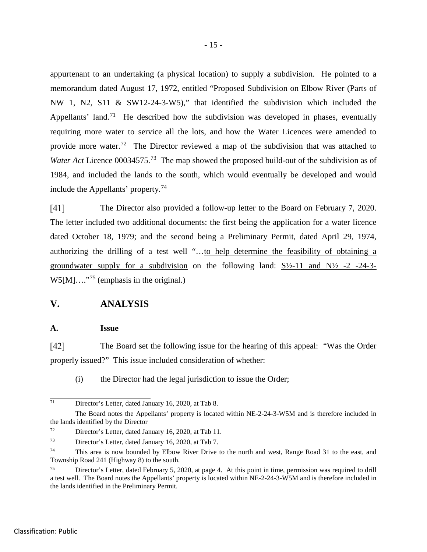appurtenant to an undertaking (a physical location) to supply a subdivision. He pointed to a memorandum dated August 17, 1972, entitled "Proposed Subdivision on Elbow River (Parts of NW 1, N2, S11 & SW12-24-3-W5)," that identified the subdivision which included the Appellants' land.<sup>71</sup> He described how the subdivision was developed in phases, eventually requiring more water to service all the lots, and how the Water Licences were amended to provide more water.<sup>72</sup> The Director reviewed a map of the subdivision that was attached to *Water Act Licence 00034575.*<sup>[73](#page-18-2)</sup> The map showed the proposed build-out of the subdivision as of 1984, and included the lands to the south, which would eventually be developed and would include the Appellants' property. [74](#page-18-3)

 $[41]$ The Director also provided a follow-up letter to the Board on February 7, 2020. The letter included two additional documents: the first being the application for a water licence dated October 18, 1979; and the second being a Preliminary Permit, dated April 29, 1974, authorizing the drilling of a test well "…to help determine the feasibility of obtaining a groundwater supply for a subdivision on the following land:  $S\frac{1}{2}$ -11 and  $N\frac{1}{2}$ -2 -24-3- $W5[M]...$ <sup>[75](#page-18-4)</sup> (emphasis in the original.)

# **V. ANALYSIS**

#### **A. Issue**

 $[42]$ The Board set the following issue for the hearing of this appeal: "Was the Order properly issued?" This issue included consideration of whether:

(i) the Director had the legal jurisdiction to issue the Order;

<span id="page-18-0"></span> $\overline{71}$ Director's Letter, dated January 16, 2020, at Tab 8.

The Board notes the Appellants' property is located within NE-2-24-3-W5M and is therefore included in the lands identified by the Director

<span id="page-18-1"></span><sup>72</sup> Director's Letter, dated January 16, 2020, at Tab 11.

<span id="page-18-2"></span><sup>73</sup> Director's Letter, dated January 16, 2020, at Tab 7.

<span id="page-18-3"></span><sup>&</sup>lt;sup>74</sup> This area is now bounded by Elbow River Drive to the north and west, Range Road 31 to the east, and Township Road 241 (Highway 8) to the south.

<span id="page-18-4"></span><sup>&</sup>lt;sup>75</sup> Director's Letter, dated February 5, 2020, at page 4. At this point in time, permission was required to drill a test well. The Board notes the Appellants' property is located within NE-2-24-3-W5M and is therefore included in the lands identified in the Preliminary Permit.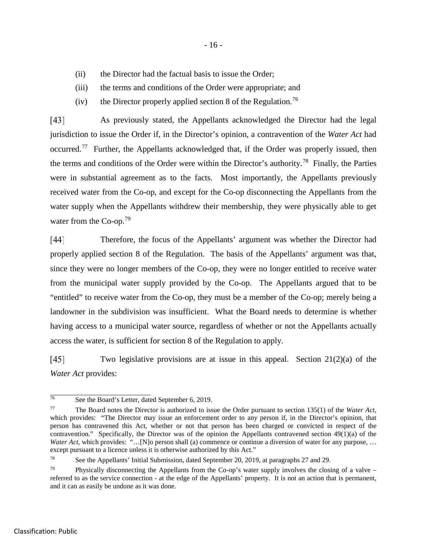- (ii) the Director had the factual basis to issue the Order;
- (iii) the terms and conditions of the Order were appropriate; and
- (iv) the Director properly applied section 8 of the Regulation.<sup>[76](#page-19-0)</sup>

 $[43]$ As previously stated, the Appellants acknowledged the Director had the legal jurisdiction to issue the Order if, in the Director's opinion, a contravention of the *Water Act* had occurred.[77](#page-19-1) Further, the Appellants acknowledged that, if the Order was properly issued, then the terms and conditions of the Order were within the Director's authority.<sup>[78](#page-19-2)</sup> Finally, the Parties were in substantial agreement as to the facts. Most importantly, the Appellants previously received water from the Co-op, and except for the Co-op disconnecting the Appellants from the water supply when the Appellants withdrew their membership, they were physically able to get water from the Co-op.<sup>[79](#page-19-3)</sup>

 $[44]$ Therefore, the focus of the Appellants' argument was whether the Director had properly applied section 8 of the Regulation. The basis of the Appellants' argument was that, since they were no longer members of the Co-op, they were no longer entitled to receive water from the municipal water supply provided by the Co-op. The Appellants argued that to be "entitled" to receive water from the Co-op, they must be a member of the Co-op; merely being a landowner in the subdivision was insufficient. What the Board needs to determine is whether having access to a municipal water source, regardless of whether or not the Appellants actually access the water, is sufficient for section 8 of the Regulation to apply.

 $[45]$ Two legislative provisions are at issue in this appeal. Section  $21(2)(a)$  of the *Water Act* provides:

<span id="page-19-2"></span><sup>78</sup> See the Appellants' Initial Submission, dated September 20, 2019, at paragraphs 27 and 29.

<span id="page-19-0"></span> $\overline{76}$ See the Board's Letter, dated September 6, 2019.

<span id="page-19-1"></span><sup>77</sup> The Board notes the Director is authorized to issue the Order pursuant to section 135(1) of the *Water Act*, which provides: "The Director may issue an enforcement order to any person if, in the Director's opinion, that person has contravened this Act, whether or not that person has been charged or convicted in respect of the contravention." Specifically, the Director was of the opinion the Appellants contravened section  $49(1)(a)$  of the *Water Act*, which provides: "...[N]o person shall (a) commence or continue a diversion of water for any purpose, ... except pursuant to a licence unless it is otherwise authorized by this Act."

<span id="page-19-3"></span><sup>&</sup>lt;sup>79</sup> Physically disconnecting the Appellants from the Co-op's water supply involves the closing of a valve – referred to as the service connection - at the edge of the Appellants' property. It is not an action that is permanent, and it can as easily be undone as it was done.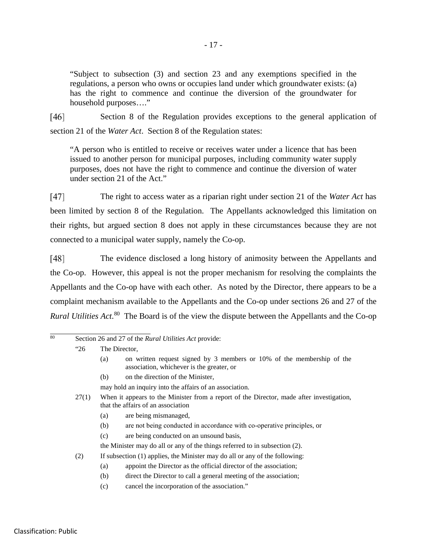"Subject to subsection (3) and section 23 and any exemptions specified in the regulations, a person who owns or occupies land under which groundwater exists: (a) has the right to commence and continue the diversion of the groundwater for household purposes…."

 $[46]$ Section 8 of the Regulation provides exceptions to the general application of section 21 of the *Water Act*. Section 8 of the Regulation states:

"A person who is entitled to receive or receives water under a licence that has been issued to another person for municipal purposes, including community water supply purposes, does not have the right to commence and continue the diversion of water under section 21 of the Act."

 $[47]$ The right to access water as a riparian right under section 21 of the *Water Act* has been limited by section 8 of the Regulation. The Appellants acknowledged this limitation on their rights, but argued section 8 does not apply in these circumstances because they are not connected to a municipal water supply, namely the Co-op.

[48] The evidence disclosed a long history of animosity between the Appellants and the Co-op. However, this appeal is not the proper mechanism for resolving the complaints the Appellants and the Co-op have with each other. As noted by the Director, there appears to be a complaint mechanism available to the Appellants and the Co-op under sections 26 and 27 of the *Rural Utilities Act*. [80](#page-20-0) The Board is of the view the dispute between the Appellants and the Co-op

<span id="page-20-0"></span>

| 80 | Section 26 and 27 of the <i>Rural Utilities Act</i> provide: |                                                                                                                                |                                                                                                                     |  |
|----|--------------------------------------------------------------|--------------------------------------------------------------------------------------------------------------------------------|---------------------------------------------------------------------------------------------------------------------|--|
|    | "26"                                                         | The Director.                                                                                                                  |                                                                                                                     |  |
|    |                                                              | (a)                                                                                                                            | on written request signed by 3 members or 10% of the membership of the<br>association, whichever is the greater, or |  |
|    |                                                              | (b)                                                                                                                            | on the direction of the Minister,                                                                                   |  |
|    |                                                              | may hold an inquiry into the affairs of an association.                                                                        |                                                                                                                     |  |
|    | 27(1)                                                        | When it appears to the Minister from a report of the Director, made after investigation,<br>that the affairs of an association |                                                                                                                     |  |
|    |                                                              | (a)                                                                                                                            | are being mismanaged,                                                                                               |  |
|    |                                                              | (b)                                                                                                                            | are not being conducted in accordance with co-operative principles, or                                              |  |
|    |                                                              | (c)                                                                                                                            | are being conducted on an unsound basis,                                                                            |  |
|    |                                                              | the Minister may do all or any of the things referred to in subsection (2).                                                    |                                                                                                                     |  |
|    | (2)                                                          |                                                                                                                                | If subsection (1) applies, the Minister may do all or any of the following:                                         |  |
|    |                                                              | (a)                                                                                                                            | appoint the Director as the official director of the association;                                                   |  |
|    |                                                              | (b)                                                                                                                            | direct the Director to call a general meeting of the association;                                                   |  |
|    |                                                              | (c)                                                                                                                            | cancel the incorporation of the association."                                                                       |  |
|    |                                                              |                                                                                                                                |                                                                                                                     |  |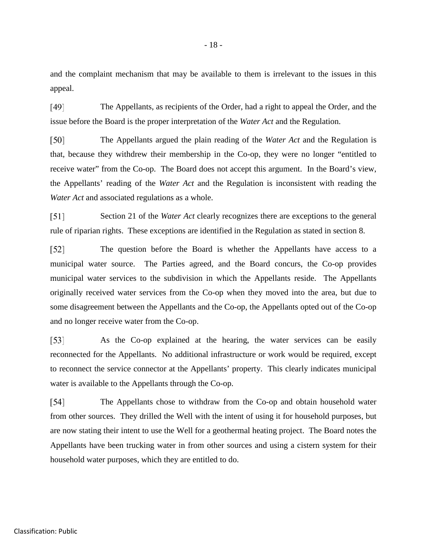and the complaint mechanism that may be available to them is irrelevant to the issues in this appeal.

 $[49]$ The Appellants, as recipients of the Order, had a right to appeal the Order, and the issue before the Board is the proper interpretation of the *Water Act* and the Regulation.

 $\lceil 50 \rceil$ The Appellants argued the plain reading of the *Water Act* and the Regulation is that, because they withdrew their membership in the Co-op, they were no longer "entitled to receive water" from the Co-op. The Board does not accept this argument. In the Board's view, the Appellants' reading of the *Water Act* and the Regulation is inconsistent with reading the *Water Act* and associated regulations as a whole.

 $\lceil 51 \rceil$ Section 21 of the *Water Act* clearly recognizes there are exceptions to the general rule of riparian rights. These exceptions are identified in the Regulation as stated in section 8.

 $\lceil 52 \rceil$ The question before the Board is whether the Appellants have access to a municipal water source. The Parties agreed, and the Board concurs, the Co-op provides municipal water services to the subdivision in which the Appellants reside. The Appellants originally received water services from the Co-op when they moved into the area, but due to some disagreement between the Appellants and the Co-op, the Appellants opted out of the Co-op and no longer receive water from the Co-op.

 $\left[53\right]$ As the Co-op explained at the hearing, the water services can be easily reconnected for the Appellants. No additional infrastructure or work would be required, except to reconnect the service connector at the Appellants' property. This clearly indicates municipal water is available to the Appellants through the Co-op.

 $[54]$ The Appellants chose to withdraw from the Co-op and obtain household water from other sources. They drilled the Well with the intent of using it for household purposes, but are now stating their intent to use the Well for a geothermal heating project. The Board notes the Appellants have been trucking water in from other sources and using a cistern system for their household water purposes, which they are entitled to do.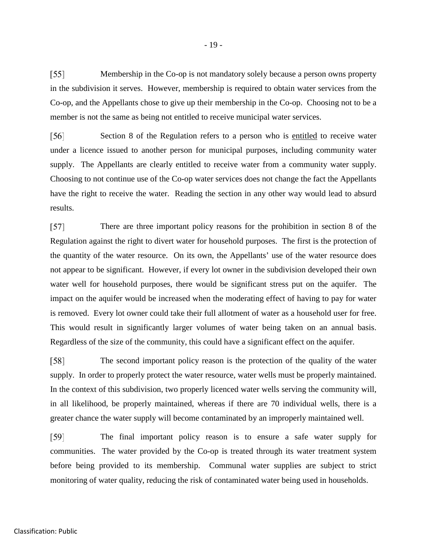$\lceil 55 \rceil$ Membership in the Co-op is not mandatory solely because a person owns property in the subdivision it serves. However, membership is required to obtain water services from the Co-op, and the Appellants chose to give up their membership in the Co-op. Choosing not to be a member is not the same as being not entitled to receive municipal water services.

Section 8 of the Regulation refers to a person who is entitled to receive water [56] under a licence issued to another person for municipal purposes, including community water supply. The Appellants are clearly entitled to receive water from a community water supply. Choosing to not continue use of the Co-op water services does not change the fact the Appellants have the right to receive the water. Reading the section in any other way would lead to absurd results.

There are three important policy reasons for the prohibition in section 8 of the  $\lceil 57 \rceil$ Regulation against the right to divert water for household purposes. The first is the protection of the quantity of the water resource. On its own, the Appellants' use of the water resource does not appear to be significant. However, if every lot owner in the subdivision developed their own water well for household purposes, there would be significant stress put on the aquifer. The impact on the aquifer would be increased when the moderating effect of having to pay for water is removed. Every lot owner could take their full allotment of water as a household user for free. This would result in significantly larger volumes of water being taken on an annual basis. Regardless of the size of the community, this could have a significant effect on the aquifer.

 $[58]$ The second important policy reason is the protection of the quality of the water supply. In order to properly protect the water resource, water wells must be properly maintained. In the context of this subdivision, two properly licenced water wells serving the community will, in all likelihood, be properly maintained, whereas if there are 70 individual wells, there is a greater chance the water supply will become contaminated by an improperly maintained well.

The final important policy reason is to ensure a safe water supply for  $[59]$ communities. The water provided by the Co-op is treated through its water treatment system before being provided to its membership. Communal water supplies are subject to strict monitoring of water quality, reducing the risk of contaminated water being used in households.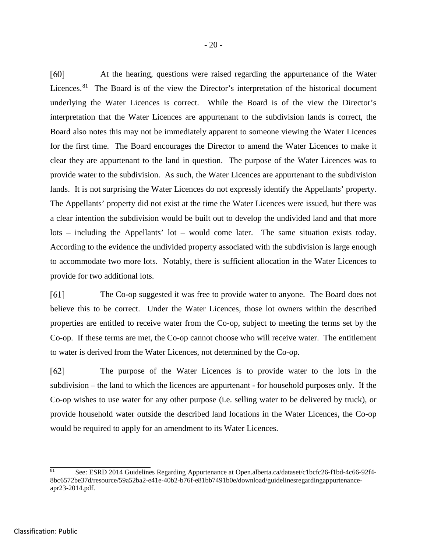[60] At the hearing, questions were raised regarding the appurtenance of the Water Licences.<sup>[81](#page-23-0)</sup> The Board is of the view the Director's interpretation of the historical document underlying the Water Licences is correct. While the Board is of the view the Director's interpretation that the Water Licences are appurtenant to the subdivision lands is correct, the Board also notes this may not be immediately apparent to someone viewing the Water Licences for the first time. The Board encourages the Director to amend the Water Licences to make it clear they are appurtenant to the land in question. The purpose of the Water Licences was to provide water to the subdivision. As such, the Water Licences are appurtenant to the subdivision lands. It is not surprising the Water Licences do not expressly identify the Appellants' property. The Appellants' property did not exist at the time the Water Licences were issued, but there was a clear intention the subdivision would be built out to develop the undivided land and that more lots – including the Appellants' lot – would come later. The same situation exists today. According to the evidence the undivided property associated with the subdivision is large enough to accommodate two more lots. Notably, there is sufficient allocation in the Water Licences to provide for two additional lots.

 $[61]$ The Co-op suggested it was free to provide water to anyone. The Board does not believe this to be correct. Under the Water Licences, those lot owners within the described properties are entitled to receive water from the Co-op, subject to meeting the terms set by the Co-op. If these terms are met, the Co-op cannot choose who will receive water. The entitlement to water is derived from the Water Licences, not determined by the Co-op.

 $[62]$ The purpose of the Water Licences is to provide water to the lots in the subdivision – the land to which the licences are appurtenant - for household purposes only. If the Co-op wishes to use water for any other purpose (i.e. selling water to be delivered by truck), or provide household water outside the described land locations in the Water Licences, the Co-op would be required to apply for an amendment to its Water Licences.

<span id="page-23-0"></span> $\overline{81}$ <sup>81</sup> See: ESRD 2014 Guidelines Regarding Appurtenance at Open.alberta.ca/dataset/c1bcfc26-f1bd-4c66-92f4- 8bc6572be37d/resource/59a52ba2-e41e-40b2-b76f-e81bb7491b0e/download/guidelinesregardingappurtenanceapr23-2014.pdf.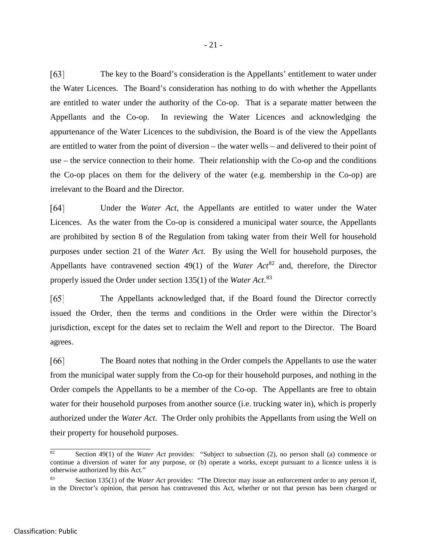$[63]$ The key to the Board's consideration is the Appellants' entitlement to water under the Water Licences. The Board's consideration has nothing to do with whether the Appellants are entitled to water under the authority of the Co-op. That is a separate matter between the Appellants and the Co-op. In reviewing the Water Licences and acknowledging the appurtenance of the Water Licences to the subdivision, the Board is of the view the Appellants are entitled to water from the point of diversion – the water wells – and delivered to their point of use – the service connection to their home. Their relationship with the Co-op and the conditions the Co-op places on them for the delivery of the water (e.g. membership in the Co-op) are irrelevant to the Board and the Director.

Under the *Water Act*, the Appellants are entitled to water under the Water [64] Licences. As the water from the Co-op is considered a municipal water source, the Appellants are prohibited by section 8 of the Regulation from taking water from their Well for household purposes under section 21 of the *Water Act*. By using the Well for household purposes, the Appellants have contravened section 49(1) of the *Water Act*<sup>[82](#page-24-0)</sup> and, therefore, the Director properly issued the Order under section 135(1) of the *Water Act*. [83](#page-24-1)

 $[65]$ The Appellants acknowledged that, if the Board found the Director correctly issued the Order, then the terms and conditions in the Order were within the Director's jurisdiction, except for the dates set to reclaim the Well and report to the Director. The Board agrees.

The Board notes that nothing in the Order compels the Appellants to use the water [66] from the municipal water supply from the Co-op for their household purposes, and nothing in the Order compels the Appellants to be a member of the Co-op. The Appellants are free to obtain water for their household purposes from another source (i.e. trucking water in), which is properly authorized under the *Water Act*. The Order only prohibits the Appellants from using the Well on their property for household purposes.

l

<span id="page-24-0"></span><sup>82</sup> Section 49(1) of the *Water Act* provides: "Subject to subsection (2), no person shall (a) commence or continue a diversion of water for any purpose, or (b) operate a works, except pursuant to a licence unless it is otherwise authorized by this Act."

<span id="page-24-1"></span>Section 135(1) of the *Water Act* provides: "The Director may issue an enforcement order to any person if, in the Director's opinion, that person has contravened this Act, whether or not that person has been charged or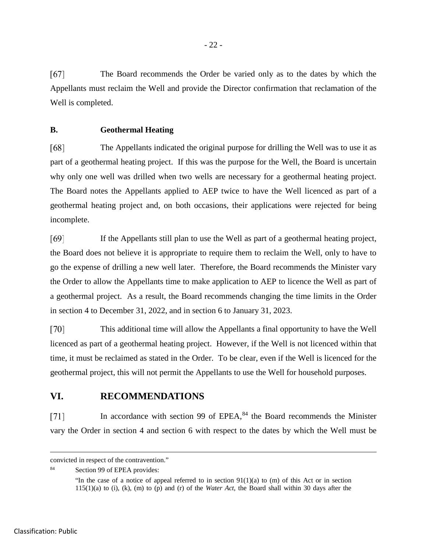$[67]$ The Board recommends the Order be varied only as to the dates by which the Appellants must reclaim the Well and provide the Director confirmation that reclamation of the Well is completed.

#### **B. Geothermal Heating**

[68] The Appellants indicated the original purpose for drilling the Well was to use it as part of a geothermal heating project. If this was the purpose for the Well, the Board is uncertain why only one well was drilled when two wells are necessary for a geothermal heating project. The Board notes the Appellants applied to AEP twice to have the Well licenced as part of a geothermal heating project and, on both occasions, their applications were rejected for being incomplete.

[69] If the Appellants still plan to use the Well as part of a geothermal heating project, the Board does not believe it is appropriate to require them to reclaim the Well, only to have to go the expense of drilling a new well later. Therefore, the Board recommends the Minister vary the Order to allow the Appellants time to make application to AEP to licence the Well as part of a geothermal project. As a result, the Board recommends changing the time limits in the Order in section 4 to December 31, 2022, and in section 6 to January 31, 2023.

 $[70]$ This additional time will allow the Appellants a final opportunity to have the Well licenced as part of a geothermal heating project. However, if the Well is not licenced within that time, it must be reclaimed as stated in the Order. To be clear, even if the Well is licenced for the geothermal project, this will not permit the Appellants to use the Well for household purposes.

# **VI. RECOMMENDATIONS**

In accordance with section 99 of EPEA,<sup>[84](#page-25-0)</sup> the Board recommends the Minister  $[71]$ vary the Order in section 4 and section 6 with respect to the dates by which the Well must be

convicted in respect of the contravention."

<span id="page-25-0"></span><sup>84</sup> Section 99 of EPEA provides:

<sup>&</sup>quot;In the case of a notice of appeal referred to in section  $91(1)(a)$  to (m) of this Act or in section 115(1)(a) to (i), (k), (m) to (p) and (r) of the *Water Act*, the Board shall within 30 days after the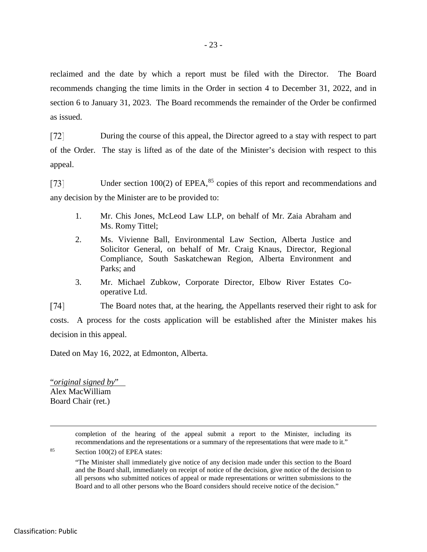reclaimed and the date by which a report must be filed with the Director. The Board recommends changing the time limits in the Order in section 4 to December 31, 2022, and in section 6 to January 31, 2023. The Board recommends the remainder of the Order be confirmed as issued.

 $[72]$ During the course of this appeal, the Director agreed to a stay with respect to part of the Order. The stay is lifted as of the date of the Minister's decision with respect to this appeal.

 $[73]$ Under section 100(2) of EPEA,<sup>[85](#page-26-0)</sup> copies of this report and recommendations and any decision by the Minister are to be provided to:

- 1. Mr. Chis Jones, McLeod Law LLP, on behalf of Mr. Zaia Abraham and Ms. Romy Tittel;
- 2. Ms. Vivienne Ball, Environmental Law Section, Alberta Justice and Solicitor General, on behalf of Mr. Craig Knaus, Director, Regional Compliance, South Saskatchewan Region, Alberta Environment and Parks; and
- 3. Mr. Michael Zubkow, Corporate Director, Elbow River Estates Cooperative Ltd.

The Board notes that, at the hearing, the Appellants reserved their right to ask for  $[74]$ 

costs. A process for the costs application will be established after the Minister makes his decision in this appeal.

Dated on May 16, 2022, at Edmonton, Alberta.

"*original signed by*" Alex MacWilliam Board Chair (ret.)

> completion of the hearing of the appeal submit a report to the Minister, including its recommendations and the representations or a summary of the representations that were made to it."

<span id="page-26-0"></span><sup>85</sup> Section 100(2) of EPEA states:

<sup>&</sup>quot;The Minister shall immediately give notice of any decision made under this section to the Board and the Board shall, immediately on receipt of notice of the decision, give notice of the decision to all persons who submitted notices of appeal or made representations or written submissions to the Board and to all other persons who the Board considers should receive notice of the decision."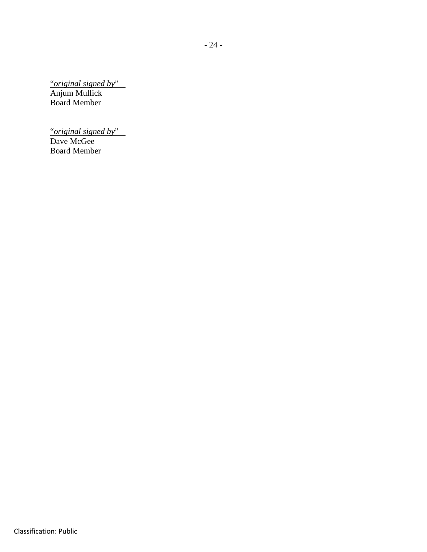"*original signed by*" Anjum Mullick Board Member

"*original signed by*" Dave McGee Board Member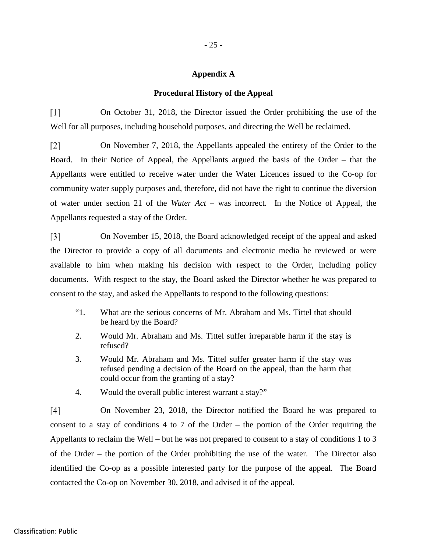#### **Appendix A**

#### **Procedural History of the Appeal**

 $\lceil 1 \rceil$ On October 31, 2018, the Director issued the Order prohibiting the use of the Well for all purposes, including household purposes, and directing the Well be reclaimed.

On November 7, 2018, the Appellants appealed the entirety of the Order to the  $\lceil 2 \rceil$ Board. In their Notice of Appeal, the Appellants argued the basis of the Order – that the Appellants were entitled to receive water under the Water Licences issued to the Co-op for community water supply purposes and, therefore, did not have the right to continue the diversion of water under section 21 of the *Water Act* – was incorrect. In the Notice of Appeal, the Appellants requested a stay of the Order.

On November 15, 2018, the Board acknowledged receipt of the appeal and asked  $\lceil 3 \rceil$ the Director to provide a copy of all documents and electronic media he reviewed or were available to him when making his decision with respect to the Order, including policy documents. With respect to the stay, the Board asked the Director whether he was prepared to consent to the stay, and asked the Appellants to respond to the following questions:

- "1. What are the serious concerns of Mr. Abraham and Ms. Tittel that should be heard by the Board?
- 2. Would Mr. Abraham and Ms. Tittel suffer irreparable harm if the stay is refused?
- 3. Would Mr. Abraham and Ms. Tittel suffer greater harm if the stay was refused pending a decision of the Board on the appeal, than the harm that could occur from the granting of a stay?
- 4. Would the overall public interest warrant a stay?"

 $[4]$ On November 23, 2018, the Director notified the Board he was prepared to consent to a stay of conditions 4 to 7 of the Order – the portion of the Order requiring the Appellants to reclaim the Well – but he was not prepared to consent to a stay of conditions 1 to 3 of the Order – the portion of the Order prohibiting the use of the water. The Director also identified the Co-op as a possible interested party for the purpose of the appeal. The Board contacted the Co-op on November 30, 2018, and advised it of the appeal.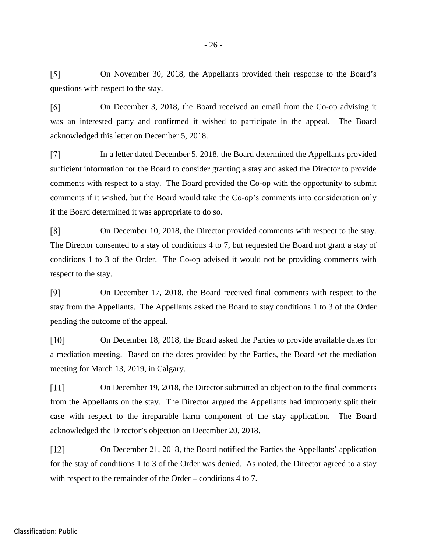$\lceil 5 \rceil$ On November 30, 2018, the Appellants provided their response to the Board's questions with respect to the stay.

 $[6]$ On December 3, 2018, the Board received an email from the Co-op advising it was an interested party and confirmed it wished to participate in the appeal. The Board acknowledged this letter on December 5, 2018.

In a letter dated December 5, 2018, the Board determined the Appellants provided  $\lceil 7 \rceil$ sufficient information for the Board to consider granting a stay and asked the Director to provide comments with respect to a stay. The Board provided the Co-op with the opportunity to submit comments if it wished, but the Board would take the Co-op's comments into consideration only if the Board determined it was appropriate to do so.

 $\lceil 8 \rceil$ On December 10, 2018, the Director provided comments with respect to the stay. The Director consented to a stay of conditions 4 to 7, but requested the Board not grant a stay of conditions 1 to 3 of the Order. The Co-op advised it would not be providing comments with respect to the stay.

[9] On December 17, 2018, the Board received final comments with respect to the stay from the Appellants. The Appellants asked the Board to stay conditions 1 to 3 of the Order pending the outcome of the appeal.

 $\lceil 10 \rceil$ On December 18, 2018, the Board asked the Parties to provide available dates for a mediation meeting. Based on the dates provided by the Parties, the Board set the mediation meeting for March 13, 2019, in Calgary.

 $\lceil 11 \rceil$ On December 19, 2018, the Director submitted an objection to the final comments from the Appellants on the stay. The Director argued the Appellants had improperly split their case with respect to the irreparable harm component of the stay application. The Board acknowledged the Director's objection on December 20, 2018.

 $\lceil 12 \rceil$ On December 21, 2018, the Board notified the Parties the Appellants' application for the stay of conditions 1 to 3 of the Order was denied. As noted, the Director agreed to a stay with respect to the remainder of the Order – conditions 4 to 7.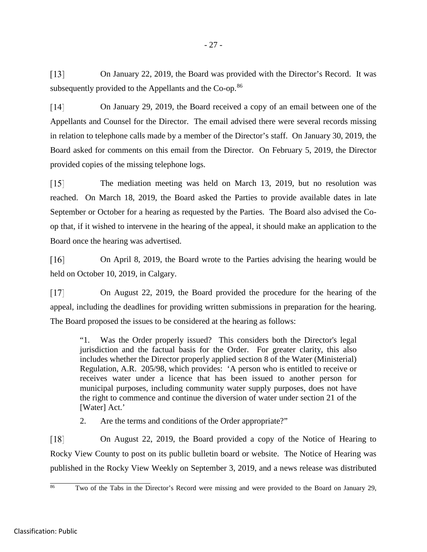$\lceil 13 \rceil$ On January 22, 2019, the Board was provided with the Director's Record. It was subsequently provided to the Appellants and the Co-op.<sup>[86](#page-30-0)</sup>

 $[14]$ On January 29, 2019, the Board received a copy of an email between one of the Appellants and Counsel for the Director. The email advised there were several records missing in relation to telephone calls made by a member of the Director's staff. On January 30, 2019, the Board asked for comments on this email from the Director. On February 5, 2019, the Director provided copies of the missing telephone logs.

 $\lceil 15 \rceil$ The mediation meeting was held on March 13, 2019, but no resolution was reached. On March 18, 2019, the Board asked the Parties to provide available dates in late September or October for a hearing as requested by the Parties. The Board also advised the Coop that, if it wished to intervene in the hearing of the appeal, it should make an application to the Board once the hearing was advertised.

 $[16]$ On April 8, 2019, the Board wrote to the Parties advising the hearing would be held on October 10, 2019, in Calgary.

 $[17]$ On August 22, 2019, the Board provided the procedure for the hearing of the appeal, including the deadlines for providing written submissions in preparation for the hearing. The Board proposed the issues to be considered at the hearing as follows:

"1. Was the Order properly issued? This considers both the Director's legal jurisdiction and the factual basis for the Order. For greater clarity, this also includes whether the Director properly applied section 8 of the Water (Ministerial) Regulation, A.R. 205/98, which provides: 'A person who is entitled to receive or receives water under a licence that has been issued to another person for municipal purposes, including community water supply purposes, does not have the right to commence and continue the diversion of water under section 21 of the [Water] Act.'

2. Are the terms and conditions of the Order appropriate?"

On August 22, 2019, the Board provided a copy of the Notice of Hearing to  $\lceil 18 \rceil$ Rocky View County to post on its public bulletin board or website. The Notice of Hearing was published in the Rocky View Weekly on September 3, 2019, and a news release was distributed

<span id="page-30-0"></span> $86$ Two of the Tabs in the Director's Record were missing and were provided to the Board on January 29,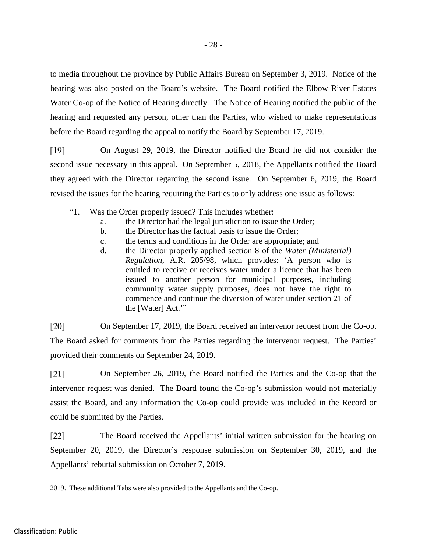to media throughout the province by Public Affairs Bureau on September 3, 2019. Notice of the hearing was also posted on the Board's website. The Board notified the Elbow River Estates Water Co-op of the Notice of Hearing directly. The Notice of Hearing notified the public of the hearing and requested any person, other than the Parties, who wished to make representations before the Board regarding the appeal to notify the Board by September 17, 2019.

On August 29, 2019, the Director notified the Board he did not consider the  $[19]$ second issue necessary in this appeal. On September 5, 2018, the Appellants notified the Board they agreed with the Director regarding the second issue. On September 6, 2019, the Board revised the issues for the hearing requiring the Parties to only address one issue as follows:

- "1. Was the Order properly issued? This includes whether:
	- a. the Director had the legal jurisdiction to issue the Order;
	- b. the Director has the factual basis to issue the Order;
	- c. the terms and conditions in the Order are appropriate; and
	- d. the Director properly applied section 8 of the *Water (Ministerial) Regulation*, A.R. 205/98, which provides: 'A person who is entitled to receive or receives water under a licence that has been issued to another person for municipal purposes, including community water supply purposes, does not have the right to commence and continue the diversion of water under section 21 of the [Water] Act.'"

 $\lceil 20 \rceil$ On September 17, 2019, the Board received an intervenor request from the Co-op. The Board asked for comments from the Parties regarding the intervenor request. The Parties' provided their comments on September 24, 2019.

 $[21]$ On September 26, 2019, the Board notified the Parties and the Co-op that the intervenor request was denied. The Board found the Co-op's submission would not materially assist the Board, and any information the Co-op could provide was included in the Record or could be submitted by the Parties.

 $\lceil 22 \rceil$ The Board received the Appellants' initial written submission for the hearing on September 20, 2019, the Director's response submission on September 30, 2019, and the Appellants' rebuttal submission on October 7, 2019.

 <sup>2019.</sup> These additional Tabs were also provided to the Appellants and the Co-op.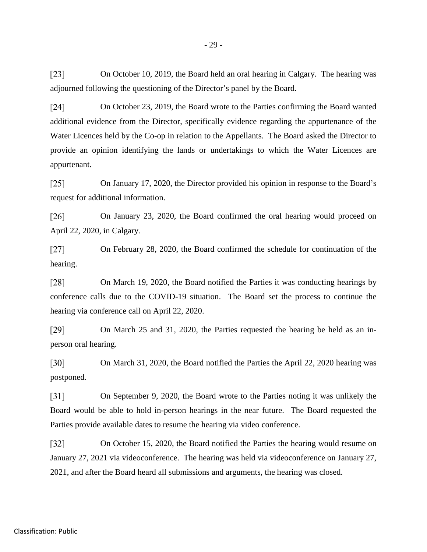$\lceil 23 \rceil$ On October 10, 2019, the Board held an oral hearing in Calgary. The hearing was adjourned following the questioning of the Director's panel by the Board.

 $[24]$ On October 23, 2019, the Board wrote to the Parties confirming the Board wanted additional evidence from the Director, specifically evidence regarding the appurtenance of the Water Licences held by the Co-op in relation to the Appellants. The Board asked the Director to provide an opinion identifying the lands or undertakings to which the Water Licences are appurtenant.

 $\left[25\right]$ On January 17, 2020, the Director provided his opinion in response to the Board's request for additional information.

 $\lceil 26 \rceil$ On January 23, 2020, the Board confirmed the oral hearing would proceed on April 22, 2020, in Calgary.

 $[27]$ On February 28, 2020, the Board confirmed the schedule for continuation of the hearing.

On March 19, 2020, the Board notified the Parties it was conducting hearings by  $\lceil 28 \rceil$ conference calls due to the COVID-19 situation. The Board set the process to continue the hearing via conference call on April 22, 2020.

 $[29]$ On March 25 and 31, 2020, the Parties requested the hearing be held as an inperson oral hearing.

 $\lceil 30 \rceil$ On March 31, 2020, the Board notified the Parties the April 22, 2020 hearing was postponed.

 $\lceil 31 \rceil$ On September 9, 2020, the Board wrote to the Parties noting it was unlikely the Board would be able to hold in-person hearings in the near future. The Board requested the Parties provide available dates to resume the hearing via video conference.

 $\lceil 32 \rceil$ On October 15, 2020, the Board notified the Parties the hearing would resume on January 27, 2021 via videoconference. The hearing was held via videoconference on January 27, 2021, and after the Board heard all submissions and arguments, the hearing was closed.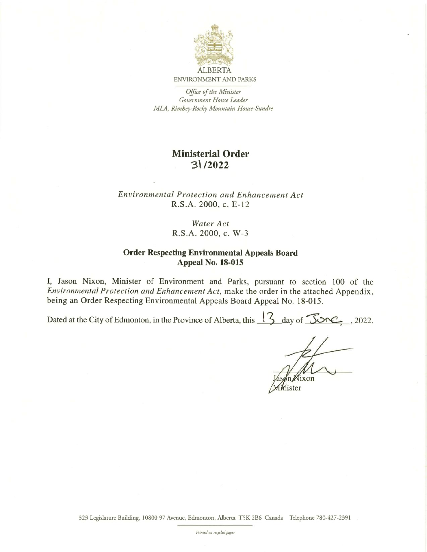

# ENVIRONMENT AND PARKS

Office of the Minister Government House Leader MLA, Rimbey-Rocky Mountain House-Sundre

# Ministerial Order 31/2022

#### Environmental Protection and Enhancement Act R.S.A. 2000, c. E-12

### Water Act R.S.A. 2000, c. W-3

#### Order Respecting Environmental Appeals Board Appeal No. 18-015

I, Jason Nixon, Minister of Environment and Parks, pursuant to section 100 of the Environmental Protection and Enhancement Act, make the order in the attached Appendix, being an Order Respecting Environmental Appeals Board Appeal No. 18-015.

Dated at the City of Edmonton, in the Province of Alberta, this  $\sqrt{3}$  day of  $\sqrt{3}$ 

 $ixon$ 

mister